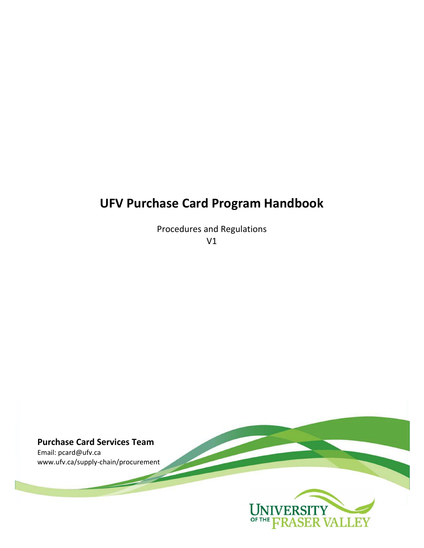# **UFV Purchase Card Program Handbook**

Procedures and Regulations V1

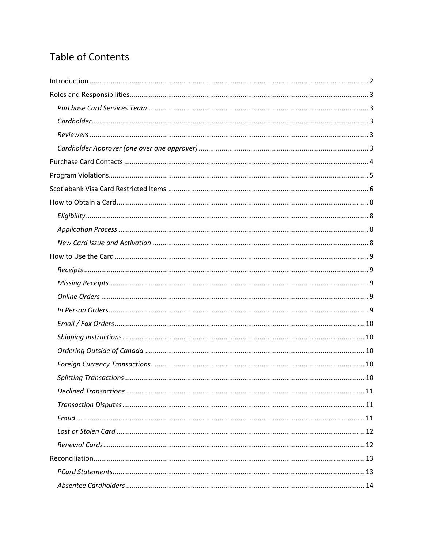# **Table of Contents**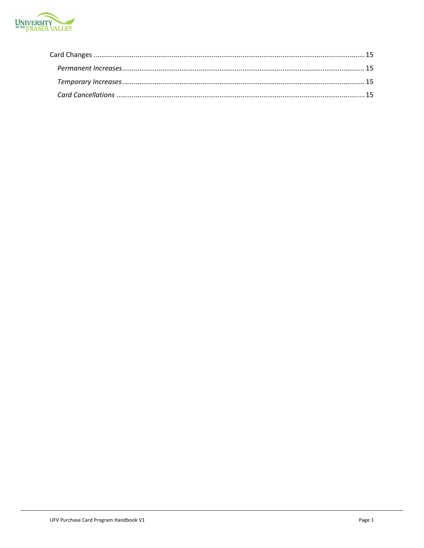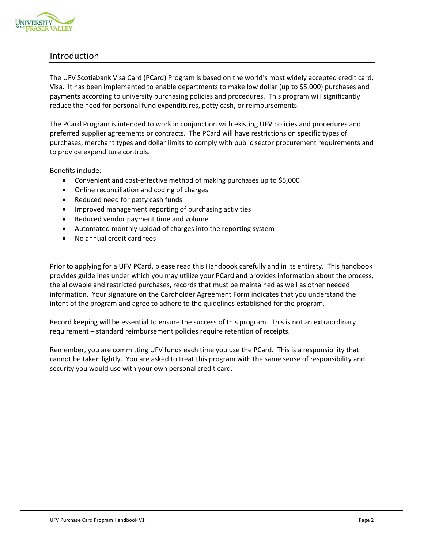

# Introduction

The UFV Scotiabank Visa Card (PCard) Program is based on the world's most widely accepted credit card, Visa. It has been implemented to enable departments to make low dollar (up to \$5,000) purchases and payments according to university purchasing policies and procedures. This program will significantly reduce the need for personal fund expenditures, petty cash, or reimbursements.

The PCard Program is intended to work in conjunction with existing UFV policies and procedures and preferred supplier agreements or contracts. The PCard will have restrictions on specific types of purchases, merchant types and dollar limits to comply with public sector procurement requirements and to provide expenditure controls.

Benefits include:

- Convenient and cost-effective method of making purchases up to \$5,000
- Online reconciliation and coding of charges
- Reduced need for petty cash funds
- Improved management reporting of purchasing activities
- Reduced vendor payment time and volume
- Automated monthly upload of charges into the reporting system
- No annual credit card fees

Prior to applying for a UFV PCard, please read this Handbook carefully and in its entirety. This handbook provides guidelines under which you may utilize your PCard and provides information about the process, the allowable and restricted purchases, records that must be maintained as well as other needed information. Your signature on the Cardholder Agreement Form indicates that you understand the intent of the program and agree to adhere to the guidelines established for the program.

Record keeping will be essential to ensure the success of this program. This is not an extraordinary requirement – standard reimbursement policies require retention of receipts.

Remember, you are committing UFV funds each time you use the PCard. This is a responsibility that cannot be taken lightly. You are asked to treat this program with the same sense of responsibility and security you would use with your own personal credit card.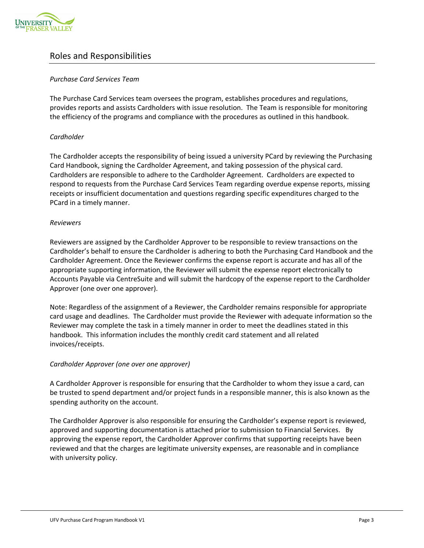

# Roles and Responsibilities

# *Purchase Card Services Team*

The Purchase Card Services team oversees the program, establishes procedures and regulations, provides reports and assists Cardholders with issue resolution. The Team is responsible for monitoring the efficiency of the programs and compliance with the procedures as outlined in this handbook.

# *Cardholder*

The Cardholder accepts the responsibility of being issued a university PCard by reviewing the Purchasing Card Handbook, signing the Cardholder Agreement, and taking possession of the physical card. Cardholders are responsible to adhere to the Cardholder Agreement. Cardholders are expected to respond to requests from the Purchase Card Services Team regarding overdue expense reports, missing receipts or insufficient documentation and questions regarding specific expenditures charged to the PCard in a timely manner.

#### *Reviewers*

Reviewers are assigned by the Cardholder Approver to be responsible to review transactions on the Cardholder's behalf to ensure the Cardholder is adhering to both the Purchasing Card Handbook and the Cardholder Agreement. Once the Reviewer confirms the expense report is accurate and has all of the appropriate supporting information, the Reviewer will submit the expense report electronically to Accounts Payable via CentreSuite and will submit the hardcopy of the expense report to the Cardholder Approver (one over one approver).

Note: Regardless of the assignment of a Reviewer, the Cardholder remains responsible for appropriate card usage and deadlines. The Cardholder must provide the Reviewer with adequate information so the Reviewer may complete the task in a timely manner in order to meet the deadlines stated in this handbook. This information includes the monthly credit card statement and all related invoices/receipts.

#### *Cardholder Approver (one over one approver)*

A Cardholder Approver is responsible for ensuring that the Cardholder to whom they issue a card, can be trusted to spend department and/or project funds in a responsible manner, this is also known as the spending authority on the account.

The Cardholder Approver is also responsible for ensuring the Cardholder's expense report is reviewed, approved and supporting documentation is attached prior to submission to Financial Services. By approving the expense report, the Cardholder Approver confirms that supporting receipts have been reviewed and that the charges are legitimate university expenses, are reasonable and in compliance with university policy.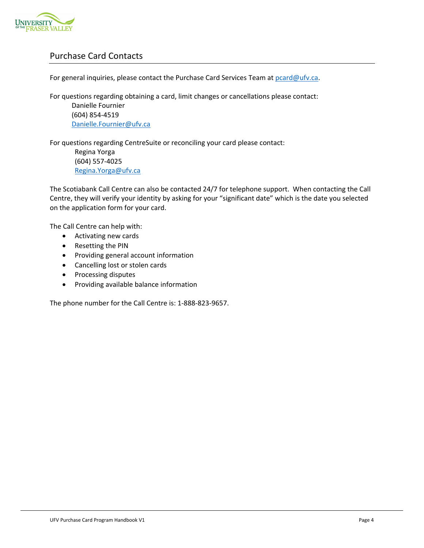

# Purchase Card Contacts

For general inquiries, please contact the Purchase Card Services Team at pcard@ufv.ca.

For questions regarding obtaining a card, limit changes or cancellations please contact:

Danielle Fournier (604) 854‐4519 Danielle.Fournier@ufv.ca

For questions regarding CentreSuite or reconciling your card please contact:

Regina Yorga (604) 557‐4025 Regina.Yorga@ufv.ca

The Scotiabank Call Centre can also be contacted 24/7 for telephone support. When contacting the Call Centre, they will verify your identity by asking for your "significant date" which is the date you selected on the application form for your card.

The Call Centre can help with:

- Activating new cards
- Resetting the PIN
- Providing general account information
- Cancelling lost or stolen cards
- Processing disputes
- Providing available balance information

The phone number for the Call Centre is: 1‐888‐823‐9657.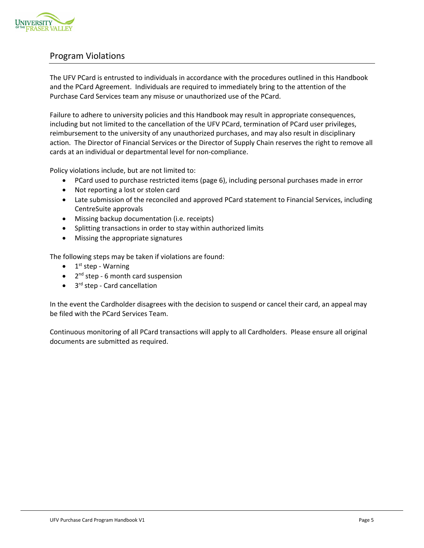

# Program Violations

The UFV PCard is entrusted to individuals in accordance with the procedures outlined in this Handbook and the PCard Agreement. Individuals are required to immediately bring to the attention of the Purchase Card Services team any misuse or unauthorized use of the PCard.

Failure to adhere to university policies and this Handbook may result in appropriate consequences, including but not limited to the cancellation of the UFV PCard, termination of PCard user privileges, reimbursement to the university of any unauthorized purchases, and may also result in disciplinary action. The Director of Financial Services or the Director of Supply Chain reserves the right to remove all cards at an individual or departmental level for non‐compliance.

Policy violations include, but are not limited to:

- PCard used to purchase restricted items (page 6), including personal purchases made in error
- Not reporting a lost or stolen card
- Late submission of the reconciled and approved PCard statement to Financial Services, including CentreSuite approvals
- Missing backup documentation (i.e. receipts)
- Splitting transactions in order to stay within authorized limits
- Missing the appropriate signatures

The following steps may be taken if violations are found:

- $\bullet$  1<sup>st</sup> step Warning
- $\bullet$  2<sup>nd</sup> step 6 month card suspension
- 3<sup>rd</sup> step Card cancellation

In the event the Cardholder disagrees with the decision to suspend or cancel their card, an appeal may be filed with the PCard Services Team.

Continuous monitoring of all PCard transactions will apply to all Cardholders. Please ensure all original documents are submitted as required.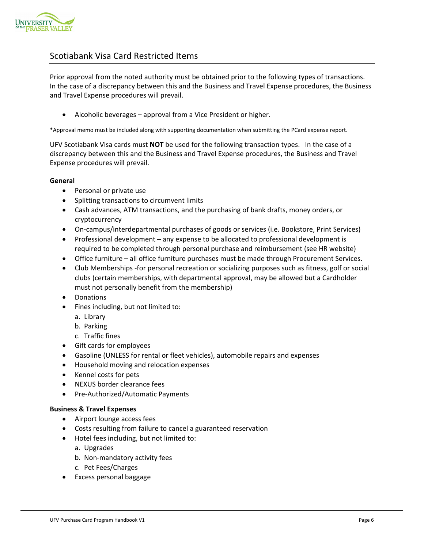

# Scotiabank Visa Card Restricted Items

Prior approval from the noted authority must be obtained prior to the following types of transactions. In the case of a discrepancy between this and the Business and Travel Expense procedures, the Business and Travel Expense procedures will prevail.

Alcoholic beverages – approval from a Vice President or higher.

\*Approval memo must be included along with supporting documentation when submitting the PCard expense report.

UFV Scotiabank Visa cards must **NOT** be used for the following transaction types. In the case of a discrepancy between this and the Business and Travel Expense procedures, the Business and Travel Expense procedures will prevail.

#### **General**

- Personal or private use
- Splitting transactions to circumvent limits
- Cash advances, ATM transactions, and the purchasing of bank drafts, money orders, or cryptocurrency
- On-campus/interdepartmental purchases of goods or services (i.e. Bookstore, Print Services)
- Professional development any expense to be allocated to professional development is required to be completed through personal purchase and reimbursement (see HR website)
- Office furniture all office furniture purchases must be made through Procurement Services.
- Club Memberships -for personal recreation or socializing purposes such as fitness, golf or social clubs (certain memberships, with departmental approval, may be allowed but a Cardholder must not personally benefit from the membership)
- Donations
- Fines including, but not limited to:
	- a. Library
	- b. Parking
	- c. Traffic fines
- Gift cards for employees
- Gasoline (UNLESS for rental or fleet vehicles), automobile repairs and expenses
- Household moving and relocation expenses
- Kennel costs for pets
- NEXUS border clearance fees
- Pre-Authorized/Automatic Payments

#### **Business & Travel Expenses**

- Airport lounge access fees
- Costs resulting from failure to cancel a guaranteed reservation
- Hotel fees including, but not limited to:
	- a. Upgrades
	- b. Non‐mandatory activity fees
	- c. Pet Fees/Charges
- Excess personal baggage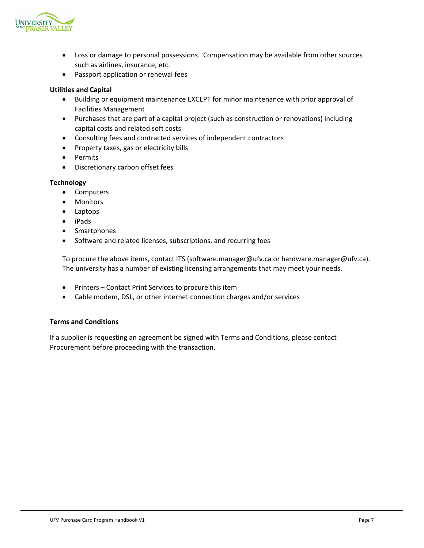

- Loss or damage to personal possessions. Compensation may be available from other sources such as airlines, insurance, etc.
- Passport application or renewal fees

# **Utilities and Capital**

- Building or equipment maintenance EXCEPT for minor maintenance with prior approval of Facilities Management
- Purchases that are part of a capital project (such as construction or renovations) including capital costs and related soft costs
- Consulting fees and contracted services of independent contractors
- Property taxes, gas or electricity bills
- Permits
- Discretionary carbon offset fees

#### **Technology**

- Computers
- Monitors
- Laptops
- iPads
- Smartphones
- Software and related licenses, subscriptions, and recurring fees

To procure the above items, contact ITS (software.manager@ufv.ca or hardware.manager@ufv.ca). The university has a number of existing licensing arrangements that may meet your needs.

- Printers Contact Print Services to procure this item
- Cable modem, DSL, or other internet connection charges and/or services

#### **Terms and Conditions**

If a supplier is requesting an agreement be signed with Terms and Conditions, please contact Procurement before proceeding with the transaction.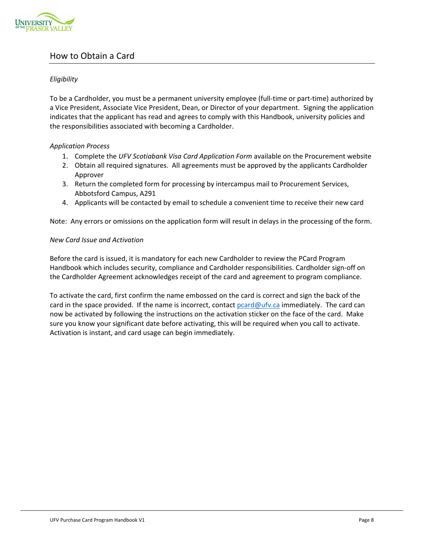

# How to Obtain a Card

# *Eligibility*

To be a Cardholder, you must be a permanent university employee (full‐time or part‐time) authorized by a Vice President, Associate Vice President, Dean, or Director of your department. Signing the application indicates that the applicant has read and agrees to comply with this Handbook, university policies and the responsibilities associated with becoming a Cardholder.

# *Application Process*

- 1. Complete the *UFV Scotiabank Visa Card Application Form* available on the Procurement website
- 2. Obtain all required signatures. All agreements must be approved by the applicants Cardholder Approver
- 3. Return the completed form for processing by intercampus mail to Procurement Services, Abbotsford Campus, A291
- 4. Applicants will be contacted by email to schedule a convenient time to receive their new card

Note: Any errors or omissions on the application form will result in delays in the processing of the form.

# *New Card Issue and Activation*

Before the card is issued, it is mandatory for each new Cardholder to review the PCard Program Handbook which includes security, compliance and Cardholder responsibilities. Cardholder sign‐off on the Cardholder Agreement acknowledges receipt of the card and agreement to program compliance.

To activate the card, first confirm the name embossed on the card is correct and sign the back of the card in the space provided. If the name is incorrect, contact pcard@ufv.ca immediately. The card can now be activated by following the instructions on the activation sticker on the face of the card. Make sure you know your significant date before activating, this will be required when you call to activate. Activation is instant, and card usage can begin immediately.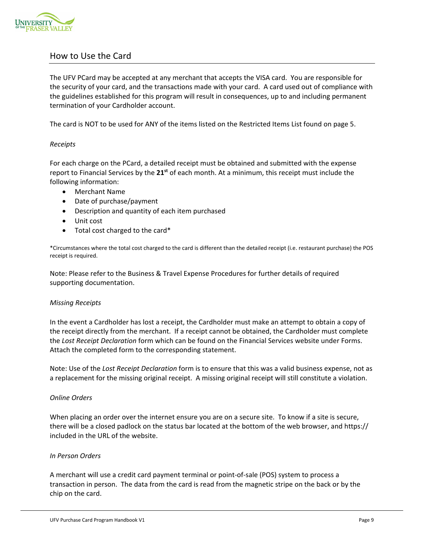

# How to Use the Card

The UFV PCard may be accepted at any merchant that accepts the VISA card. You are responsible for the security of your card, and the transactions made with your card. A card used out of compliance with the guidelines established for this program will result in consequences, up to and including permanent termination of your Cardholder account.

The card is NOT to be used for ANY of the items listed on the Restricted Items List found on page 5.

# *Receipts*

For each charge on the PCard, a detailed receipt must be obtained and submitted with the expense report to Financial Services by the **21st** of each month. At a minimum, this receipt must include the following information:

- Merchant Name
- Date of purchase/payment
- Description and quantity of each item purchased
- Unit cost
- Total cost charged to the card\*

\*Circumstances where the total cost charged to the card is different than the detailed receipt (i.e. restaurant purchase) the POS receipt is required.

Note: Please refer to the Business & Travel Expense Procedures for further details of required supporting documentation.

#### *Missing Receipts*

In the event a Cardholder has lost a receipt, the Cardholder must make an attempt to obtain a copy of the receipt directly from the merchant. If a receipt cannot be obtained, the Cardholder must complete the *Lost Receipt Declaration* form which can be found on the Financial Services website under Forms. Attach the completed form to the corresponding statement.

Note: Use of the *Lost Receipt Declaration* form is to ensure that this was a valid business expense, not as a replacement for the missing original receipt. A missing original receipt will still constitute a violation.

#### *Online Orders*

When placing an order over the internet ensure you are on a secure site. To know if a site is secure, there will be a closed padlock on the status bar located at the bottom of the web browser, and https:// included in the URL of the website.

## *In Person Orders*

A merchant will use a credit card payment terminal or point‐of‐sale (POS) system to process a transaction in person. The data from the card is read from the magnetic stripe on the back or by the chip on the card.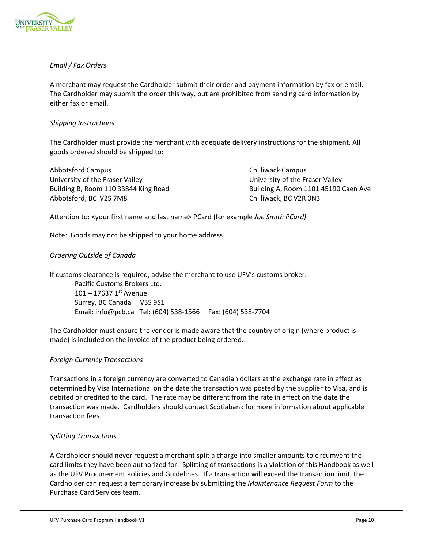

# *Email / Fax Orders*

A merchant may request the Cardholder submit their order and payment information by fax or email. The Cardholder may submit the order this way, but are prohibited from sending card information by either fax or email.

# *Shipping Instructions*

The Cardholder must provide the merchant with adequate delivery instructions for the shipment. All goods ordered should be shipped to:

Abbotsford Campus **Base Chilliwack Campus** Chilliwack Campus University of the Fraser Valley University of the Fraser Valley Building B, Room 110 33844 King Road Building A, Room 1101 45190 Caen Ave Abbotsford, BC V2S 7M8 Chilliwack, BC V2R 0N3

Attention to: <your first name and last name> PCard (for example *Joe Smith PCard)*

Note: Goods may not be shipped to your home address.

# *Ordering Outside of Canada*

If customs clearance is required, advise the merchant to use UFV's customs broker:

Pacific Customs Brokers Ltd.  $101 - 17637$  1st Avenue Surrey, BC Canada V3S 9S1 Email: info@pcb.ca Tel: (604) 538‐1566 Fax: (604) 538‐7704

The Cardholder must ensure the vendor is made aware that the country of origin (where product is made) is included on the invoice of the product being ordered.

#### *Foreign Currency Transactions*

Transactions in a foreign currency are converted to Canadian dollars at the exchange rate in effect as determined by Visa International on the date the transaction was posted by the supplier to Visa, and is debited or credited to the card. The rate may be different from the rate in effect on the date the transaction was made. Cardholders should contact Scotiabank for more information about applicable transaction fees.

#### *Splitting Transactions*

A Cardholder should never request a merchant split a charge into smaller amounts to circumvent the card limits they have been authorized for. Splitting of transactions is a violation of this Handbook as well as the UFV Procurement Policies and Guidelines. If a transaction will exceed the transaction limit, the Cardholder can request a temporary increase by submitting the *Maintenance Request Form* to the Purchase Card Services team.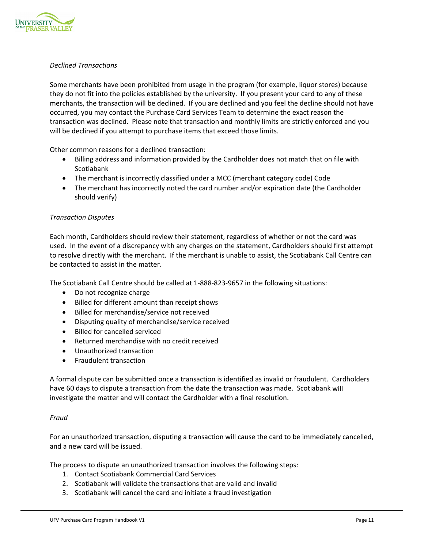

# *Declined Transactions*

Some merchants have been prohibited from usage in the program (for example, liquor stores) because they do not fit into the policies established by the university. If you present your card to any of these merchants, the transaction will be declined. If you are declined and you feel the decline should not have occurred, you may contact the Purchase Card Services Team to determine the exact reason the transaction was declined. Please note that transaction and monthly limits are strictly enforced and you will be declined if you attempt to purchase items that exceed those limits.

Other common reasons for a declined transaction:

- Billing address and information provided by the Cardholder does not match that on file with Scotiabank
- The merchant is incorrectly classified under a MCC (merchant category code) Code
- The merchant has incorrectly noted the card number and/or expiration date (the Cardholder should verify)

# *Transaction Disputes*

Each month, Cardholders should review their statement, regardless of whether or not the card was used. In the event of a discrepancy with any charges on the statement, Cardholders should first attempt to resolve directly with the merchant. If the merchant is unable to assist, the Scotiabank Call Centre can be contacted to assist in the matter.

The Scotiabank Call Centre should be called at 1‐888‐823‐9657 in the following situations:

- Do not recognize charge
- Billed for different amount than receipt shows
- Billed for merchandise/service not received
- Disputing quality of merchandise/service received
- Billed for cancelled serviced
- Returned merchandise with no credit received
- Unauthorized transaction
- Fraudulent transaction

A formal dispute can be submitted once a transaction is identified as invalid or fraudulent. Cardholders have 60 days to dispute a transaction from the date the transaction was made. Scotiabank will investigate the matter and will contact the Cardholder with a final resolution.

#### *Fraud*

For an unauthorized transaction, disputing a transaction will cause the card to be immediately cancelled, and a new card will be issued.

The process to dispute an unauthorized transaction involves the following steps:

- 1. Contact Scotiabank Commercial Card Services
- 2. Scotiabank will validate the transactions that are valid and invalid
- 3. Scotiabank will cancel the card and initiate a fraud investigation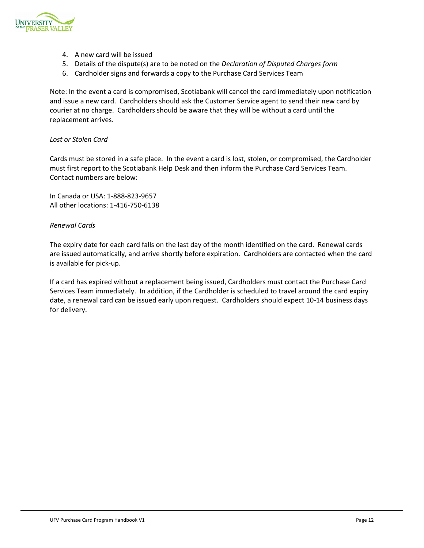

- 4. A new card will be issued
- 5. Details of the dispute(s) are to be noted on the *Declaration of Disputed Charges form*
- 6. Cardholder signs and forwards a copy to the Purchase Card Services Team

Note: In the event a card is compromised, Scotiabank will cancel the card immediately upon notification and issue a new card. Cardholders should ask the Customer Service agent to send their new card by courier at no charge. Cardholders should be aware that they will be without a card until the replacement arrives.

#### *Lost or Stolen Card*

Cards must be stored in a safe place. In the event a card is lost, stolen, or compromised, the Cardholder must first report to the Scotiabank Help Desk and then inform the Purchase Card Services Team. Contact numbers are below:

In Canada or USA: 1‐888‐823‐9657 All other locations: 1‐416‐750‐6138

#### *Renewal Cards*

The expiry date for each card falls on the last day of the month identified on the card. Renewal cards are issued automatically, and arrive shortly before expiration. Cardholders are contacted when the card is available for pick‐up.

If a card has expired without a replacement being issued, Cardholders must contact the Purchase Card Services Team immediately. In addition, if the Cardholder is scheduled to travel around the card expiry date, a renewal card can be issued early upon request. Cardholders should expect 10‐14 business days for delivery.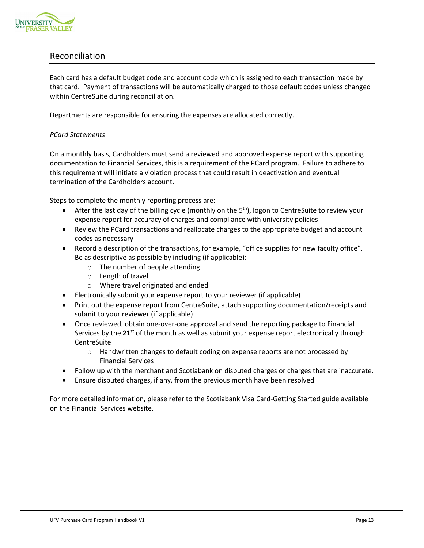

# Reconciliation

Each card has a default budget code and account code which is assigned to each transaction made by that card. Payment of transactions will be automatically charged to those default codes unless changed within CentreSuite during reconciliation.

Departments are responsible for ensuring the expenses are allocated correctly.

# *PCard Statements*

On a monthly basis, Cardholders must send a reviewed and approved expense report with supporting documentation to Financial Services, this is a requirement of the PCard program. Failure to adhere to this requirement will initiate a violation process that could result in deactivation and eventual termination of the Cardholders account.

Steps to complete the monthly reporting process are:

- **•** After the last day of the billing cycle (monthly on the  $5<sup>th</sup>$ ), logon to CentreSuite to review your expense report for accuracy of charges and compliance with university policies
- Review the PCard transactions and reallocate charges to the appropriate budget and account codes as necessary
- Record a description of the transactions, for example, "office supplies for new faculty office". Be as descriptive as possible by including (if applicable):
	- o The number of people attending
	- o Length of travel
	- o Where travel originated and ended
- Electronically submit your expense report to your reviewer (if applicable)
- Print out the expense report from CentreSuite, attach supporting documentation/receipts and submit to your reviewer (if applicable)
- Once reviewed, obtain one-over-one approval and send the reporting package to Financial Services by the **21st** of the month as well as submit your expense report electronically through **CentreSuite** 
	- $\circ$  Handwritten changes to default coding on expense reports are not processed by Financial Services
- Follow up with the merchant and Scotiabank on disputed charges or charges that are inaccurate.
- Ensure disputed charges, if any, from the previous month have been resolved

For more detailed information, please refer to the Scotiabank Visa Card-Getting Started guide available on the Financial Services website.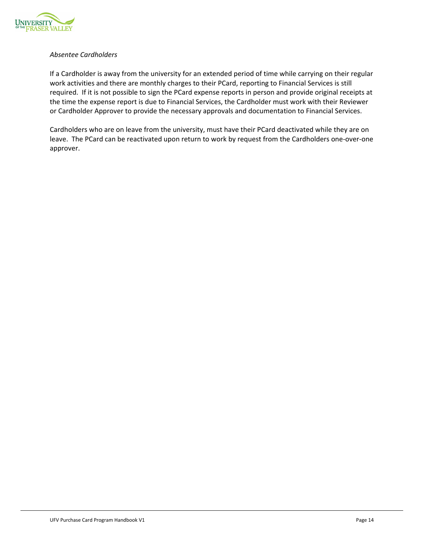

# *Absentee Cardholders*

If a Cardholder is away from the university for an extended period of time while carrying on their regular work activities and there are monthly charges to their PCard, reporting to Financial Services is still required. If it is not possible to sign the PCard expense reports in person and provide original receipts at the time the expense report is due to Financial Services, the Cardholder must work with their Reviewer or Cardholder Approver to provide the necessary approvals and documentation to Financial Services.

Cardholders who are on leave from the university, must have their PCard deactivated while they are on leave. The PCard can be reactivated upon return to work by request from the Cardholders one‐over‐one approver.